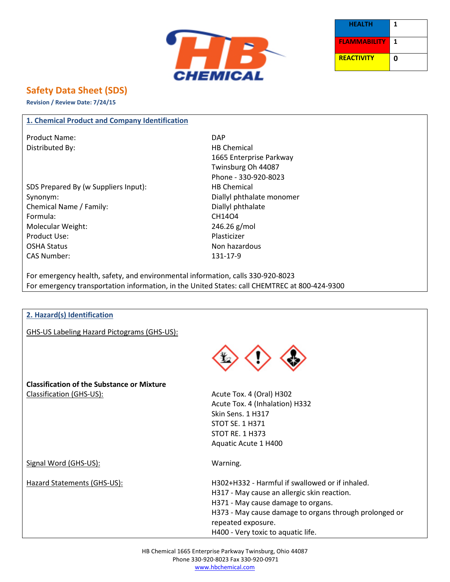



# **Safety Data Sheet (SDS)**

**Revision / Review Date: 7/24/15**

### **1. Chemical Product and Company Identification**

Product Name: DAP Distributed By: Notice and the Material HB Chemical

SDS Prepared By (w Suppliers Input): HB Chemical Synonym: Synonym: Diallyl phthalate monomer Chemical Name / Family: Diallyl phthalate Formula: CH14O4 Molecular Weight: 246.26 g/mol Product Use: Note and the Plasticizer Plasticizer OSHA Status Non hazardous CAS Number: 131-17-9

1665 Enterprise Parkway Twinsburg Oh 44087 Phone - 330-920-8023

For emergency health, safety, and environmental information, calls 330-920-8023 For emergency transportation information, in the United States: call CHEMTREC at 800-424-9300

#### **2. Hazard(s) Identification**

GHS-US Labeling Hazard Pictograms (GHS-US):



**Classification of the Substance or Mixture** Classification (GHS-US):  $\overline{A}$  Acute Tox. 4 (Oral) H302

Acute Tox. 4 (Inhalation) H332 Skin Sens. 1 H317 STOT SE. 1 H371 STOT RE. 1 H373 Aquatic Acute 1 H400

Signal Word (GHS-US): Warning.

Hazard Statements (GHS-US): H302+H332 - Harmful if swallowed or if inhaled. H317 - May cause an allergic skin reaction. H371 - May cause damage to organs. H373 - May cause damage to organs through prolonged or repeated exposure. H400 - Very toxic to aquatic life.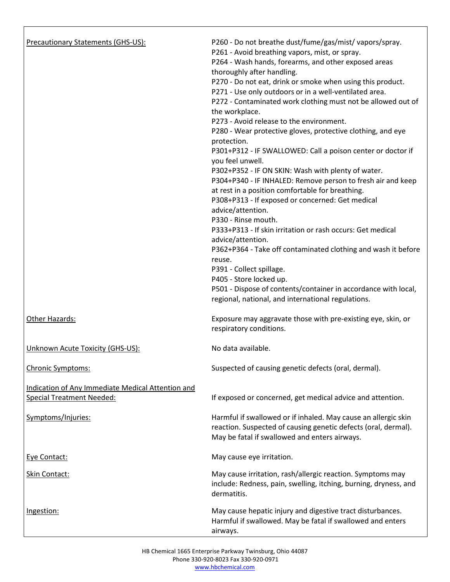| <b>Precautionary Statements (GHS-US):</b>                                             | P260 - Do not breathe dust/fume/gas/mist/vapors/spray.<br>P261 - Avoid breathing vapors, mist, or spray.<br>P264 - Wash hands, forearms, and other exposed areas<br>thoroughly after handling.<br>P270 - Do not eat, drink or smoke when using this product.<br>P271 - Use only outdoors or in a well-ventilated area.<br>P272 - Contaminated work clothing must not be allowed out of<br>the workplace.<br>P273 - Avoid release to the environment.<br>P280 - Wear protective gloves, protective clothing, and eye<br>protection.<br>P301+P312 - IF SWALLOWED: Call a poison center or doctor if<br>you feel unwell.<br>P302+P352 - IF ON SKIN: Wash with plenty of water.<br>P304+P340 - IF INHALED: Remove person to fresh air and keep<br>at rest in a position comfortable for breathing.<br>P308+P313 - If exposed or concerned: Get medical<br>advice/attention.<br>P330 - Rinse mouth.<br>P333+P313 - If skin irritation or rash occurs: Get medical<br>advice/attention.<br>P362+P364 - Take off contaminated clothing and wash it before<br>reuse.<br>P391 - Collect spillage.<br>P405 - Store locked up.<br>P501 - Dispose of contents/container in accordance with local,<br>regional, national, and international regulations. |
|---------------------------------------------------------------------------------------|---------------------------------------------------------------------------------------------------------------------------------------------------------------------------------------------------------------------------------------------------------------------------------------------------------------------------------------------------------------------------------------------------------------------------------------------------------------------------------------------------------------------------------------------------------------------------------------------------------------------------------------------------------------------------------------------------------------------------------------------------------------------------------------------------------------------------------------------------------------------------------------------------------------------------------------------------------------------------------------------------------------------------------------------------------------------------------------------------------------------------------------------------------------------------------------------------------------------------------------------|
| Other Hazards:                                                                        | Exposure may aggravate those with pre-existing eye, skin, or<br>respiratory conditions.                                                                                                                                                                                                                                                                                                                                                                                                                                                                                                                                                                                                                                                                                                                                                                                                                                                                                                                                                                                                                                                                                                                                                     |
| Unknown Acute Toxicity (GHS-US):                                                      | No data available.                                                                                                                                                                                                                                                                                                                                                                                                                                                                                                                                                                                                                                                                                                                                                                                                                                                                                                                                                                                                                                                                                                                                                                                                                          |
| Chronic Symptoms:                                                                     | Suspected of causing genetic defects (oral, dermal).                                                                                                                                                                                                                                                                                                                                                                                                                                                                                                                                                                                                                                                                                                                                                                                                                                                                                                                                                                                                                                                                                                                                                                                        |
| Indication of Any Immediate Medical Attention and<br><b>Special Treatment Needed:</b> | If exposed or concerned, get medical advice and attention.                                                                                                                                                                                                                                                                                                                                                                                                                                                                                                                                                                                                                                                                                                                                                                                                                                                                                                                                                                                                                                                                                                                                                                                  |
| Symptoms/Injuries:                                                                    | Harmful if swallowed or if inhaled. May cause an allergic skin<br>reaction. Suspected of causing genetic defects (oral, dermal).<br>May be fatal if swallowed and enters airways.                                                                                                                                                                                                                                                                                                                                                                                                                                                                                                                                                                                                                                                                                                                                                                                                                                                                                                                                                                                                                                                           |
| Eye Contact:                                                                          | May cause eye irritation.                                                                                                                                                                                                                                                                                                                                                                                                                                                                                                                                                                                                                                                                                                                                                                                                                                                                                                                                                                                                                                                                                                                                                                                                                   |
| Skin Contact:                                                                         | May cause irritation, rash/allergic reaction. Symptoms may<br>include: Redness, pain, swelling, itching, burning, dryness, and<br>dermatitis.                                                                                                                                                                                                                                                                                                                                                                                                                                                                                                                                                                                                                                                                                                                                                                                                                                                                                                                                                                                                                                                                                               |
| Ingestion:                                                                            | May cause hepatic injury and digestive tract disturbances.<br>Harmful if swallowed. May be fatal if swallowed and enters<br>airways.                                                                                                                                                                                                                                                                                                                                                                                                                                                                                                                                                                                                                                                                                                                                                                                                                                                                                                                                                                                                                                                                                                        |

Г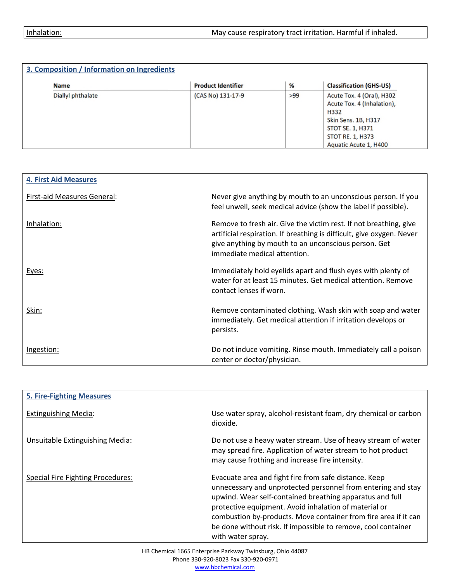| <b>Name</b>       | <b>Product Identifier</b> | %   | <b>Classification (GHS-US)</b>                                                                                                                                 |
|-------------------|---------------------------|-----|----------------------------------------------------------------------------------------------------------------------------------------------------------------|
| Diallyl phthalate | (CAS No) 131-17-9         | >99 | Acute Tox. 4 (Oral), H302<br>Acute Tox. 4 (Inhalation),<br>H332<br>Skin Sens. 1B, H317<br>STOT SE. 1, H371<br><b>STOT RE. 1, H373</b><br>Aquatic Acute 1, H400 |

| <b>4. First Aid Measures</b> |                                                                                                                                                                                                                                    |
|------------------------------|------------------------------------------------------------------------------------------------------------------------------------------------------------------------------------------------------------------------------------|
| First-aid Measures General:  | Never give anything by mouth to an unconscious person. If you<br>feel unwell, seek medical advice (show the label if possible).                                                                                                    |
| Inhalation:                  | Remove to fresh air. Give the victim rest. If not breathing, give<br>artificial respiration. If breathing is difficult, give oxygen. Never<br>give anything by mouth to an unconscious person. Get<br>immediate medical attention. |
| Eyes:                        | Immediately hold eyelids apart and flush eyes with plenty of<br>water for at least 15 minutes. Get medical attention. Remove<br>contact lenses if worn.                                                                            |
| Skin:                        | Remove contaminated clothing. Wash skin with soap and water<br>immediately. Get medical attention if irritation develops or<br>persists.                                                                                           |
| Ingestion:                   | Do not induce vomiting. Rinse mouth. Immediately call a poison<br>center or doctor/physician.                                                                                                                                      |

| <b>5. Fire-Fighting Measures</b>         |                                                                                                                                                                                                                                                                                                                                                                                                     |
|------------------------------------------|-----------------------------------------------------------------------------------------------------------------------------------------------------------------------------------------------------------------------------------------------------------------------------------------------------------------------------------------------------------------------------------------------------|
| <b>Extinguishing Media:</b>              | Use water spray, alcohol-resistant foam, dry chemical or carbon<br>dioxide.                                                                                                                                                                                                                                                                                                                         |
| Unsuitable Extinguishing Media:          | Do not use a heavy water stream. Use of heavy stream of water<br>may spread fire. Application of water stream to hot product<br>may cause frothing and increase fire intensity.                                                                                                                                                                                                                     |
| <b>Special Fire Fighting Procedures:</b> | Evacuate area and fight fire from safe distance. Keep<br>unnecessary and unprotected personnel from entering and stay<br>upwind. Wear self-contained breathing apparatus and full<br>protective equipment. Avoid inhalation of material or<br>combustion by-products. Move container from fire area if it can<br>be done without risk. If impossible to remove, cool container<br>with water spray. |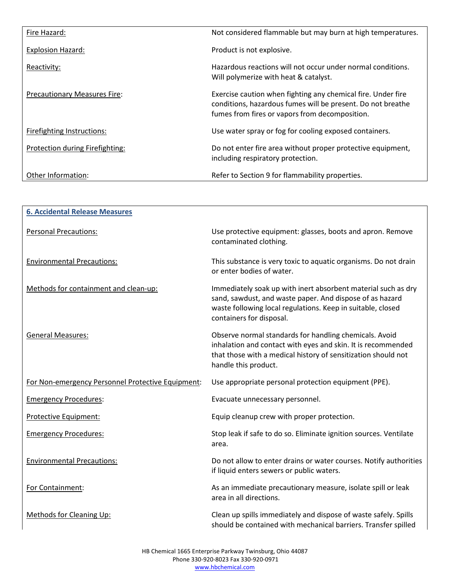| Fire Hazard:                        | Not considered flammable but may burn at high temperatures.                                                                                                                   |
|-------------------------------------|-------------------------------------------------------------------------------------------------------------------------------------------------------------------------------|
| <b>Explosion Hazard:</b>            | Product is not explosive.                                                                                                                                                     |
| Reactivity:                         | Hazardous reactions will not occur under normal conditions.<br>Will polymerize with heat & catalyst.                                                                          |
| <b>Precautionary Measures Fire:</b> | Exercise caution when fighting any chemical fire. Under fire<br>conditions, hazardous fumes will be present. Do not breathe<br>fumes from fires or vapors from decomposition. |
| Firefighting Instructions:          | Use water spray or fog for cooling exposed containers.                                                                                                                        |
| Protection during Firefighting:     | Do not enter fire area without proper protective equipment,<br>including respiratory protection.                                                                              |
| Other Information:                  | Refer to Section 9 for flammability properties.                                                                                                                               |

| <b>6. Accidental Release Measures</b>             |                                                                                                                                                                                                                      |
|---------------------------------------------------|----------------------------------------------------------------------------------------------------------------------------------------------------------------------------------------------------------------------|
| <b>Personal Precautions:</b>                      | Use protective equipment: glasses, boots and apron. Remove<br>contaminated clothing.                                                                                                                                 |
| <b>Environmental Precautions:</b>                 | This substance is very toxic to aquatic organisms. Do not drain<br>or enter bodies of water.                                                                                                                         |
| Methods for containment and clean-up:             | Immediately soak up with inert absorbent material such as dry<br>sand, sawdust, and waste paper. And dispose of as hazard<br>waste following local regulations. Keep in suitable, closed<br>containers for disposal. |
| <b>General Measures:</b>                          | Observe normal standards for handling chemicals. Avoid<br>inhalation and contact with eyes and skin. It is recommended<br>that those with a medical history of sensitization should not<br>handle this product.      |
| For Non-emergency Personnel Protective Equipment: | Use appropriate personal protection equipment (PPE).                                                                                                                                                                 |
| <b>Emergency Procedures:</b>                      | Evacuate unnecessary personnel.                                                                                                                                                                                      |
| Protective Equipment:                             | Equip cleanup crew with proper protection.                                                                                                                                                                           |
| <b>Emergency Procedures:</b>                      | Stop leak if safe to do so. Eliminate ignition sources. Ventilate<br>area.                                                                                                                                           |
| <b>Environmental Precautions:</b>                 | Do not allow to enter drains or water courses. Notify authorities<br>if liquid enters sewers or public waters.                                                                                                       |
| For Containment:                                  | As an immediate precautionary measure, isolate spill or leak<br>area in all directions.                                                                                                                              |
| Methods for Cleaning Up:                          | Clean up spills immediately and dispose of waste safely. Spills<br>should be contained with mechanical barriers. Transfer spilled                                                                                    |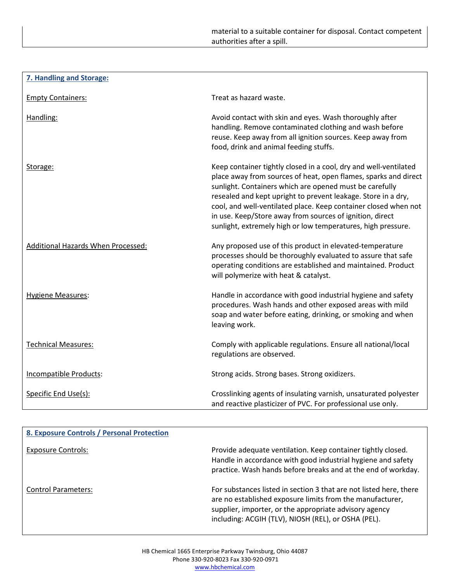| 7. Handling and Storage:                  |                                                                                                                                                                                                                                                                                                                                                                                                                                                                |
|-------------------------------------------|----------------------------------------------------------------------------------------------------------------------------------------------------------------------------------------------------------------------------------------------------------------------------------------------------------------------------------------------------------------------------------------------------------------------------------------------------------------|
| <b>Empty Containers:</b>                  | Treat as hazard waste.                                                                                                                                                                                                                                                                                                                                                                                                                                         |
| Handling:                                 | Avoid contact with skin and eyes. Wash thoroughly after<br>handling. Remove contaminated clothing and wash before<br>reuse. Keep away from all ignition sources. Keep away from<br>food, drink and animal feeding stuffs.                                                                                                                                                                                                                                      |
| Storage:                                  | Keep container tightly closed in a cool, dry and well-ventilated<br>place away from sources of heat, open flames, sparks and direct<br>sunlight. Containers which are opened must be carefully<br>resealed and kept upright to prevent leakage. Store in a dry,<br>cool, and well-ventilated place. Keep container closed when not<br>in use. Keep/Store away from sources of ignition, direct<br>sunlight, extremely high or low temperatures, high pressure. |
| <b>Additional Hazards When Processed:</b> | Any proposed use of this product in elevated-temperature<br>processes should be thoroughly evaluated to assure that safe<br>operating conditions are established and maintained. Product<br>will polymerize with heat & catalyst.                                                                                                                                                                                                                              |
| <b>Hygiene Measures:</b>                  | Handle in accordance with good industrial hygiene and safety<br>procedures. Wash hands and other exposed areas with mild<br>soap and water before eating, drinking, or smoking and when<br>leaving work.                                                                                                                                                                                                                                                       |
| <b>Technical Measures:</b>                | Comply with applicable regulations. Ensure all national/local<br>regulations are observed.                                                                                                                                                                                                                                                                                                                                                                     |
| Incompatible Products:                    | Strong acids. Strong bases. Strong oxidizers.                                                                                                                                                                                                                                                                                                                                                                                                                  |
| Specific End Use(s):                      | Crosslinking agents of insulating varnish, unsaturated polyester<br>and reactive plasticizer of PVC. For professional use only.                                                                                                                                                                                                                                                                                                                                |

| 8. Exposure Controls / Personal Protection |                                                                                                                                                                                                                                                  |
|--------------------------------------------|--------------------------------------------------------------------------------------------------------------------------------------------------------------------------------------------------------------------------------------------------|
| <b>Exposure Controls:</b>                  | Provide adequate ventilation. Keep container tightly closed.<br>Handle in accordance with good industrial hygiene and safety<br>practice. Wash hands before breaks and at the end of workday.                                                    |
| <b>Control Parameters:</b>                 | For substances listed in section 3 that are not listed here, there<br>are no established exposure limits from the manufacturer,<br>supplier, importer, or the appropriate advisory agency<br>including: ACGIH (TLV), NIOSH (REL), or OSHA (PEL). |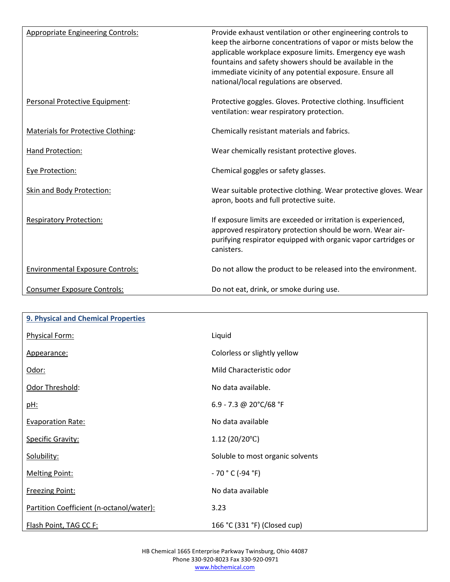| <b>Appropriate Engineering Controls:</b>  | Provide exhaust ventilation or other engineering controls to<br>keep the airborne concentrations of vapor or mists below the<br>applicable workplace exposure limits. Emergency eye wash<br>fountains and safety showers should be available in the<br>immediate vicinity of any potential exposure. Ensure all<br>national/local regulations are observed. |
|-------------------------------------------|-------------------------------------------------------------------------------------------------------------------------------------------------------------------------------------------------------------------------------------------------------------------------------------------------------------------------------------------------------------|
| Personal Protective Equipment:            | Protective goggles. Gloves. Protective clothing. Insufficient<br>ventilation: wear respiratory protection.                                                                                                                                                                                                                                                  |
| <b>Materials for Protective Clothing:</b> | Chemically resistant materials and fabrics.                                                                                                                                                                                                                                                                                                                 |
| Hand Protection:                          | Wear chemically resistant protective gloves.                                                                                                                                                                                                                                                                                                                |
| Eye Protection:                           | Chemical goggles or safety glasses.                                                                                                                                                                                                                                                                                                                         |
| <b>Skin and Body Protection:</b>          | Wear suitable protective clothing. Wear protective gloves. Wear<br>apron, boots and full protective suite.                                                                                                                                                                                                                                                  |
| <b>Respiratory Protection:</b>            | If exposure limits are exceeded or irritation is experienced,<br>approved respiratory protection should be worn. Wear air-<br>purifying respirator equipped with organic vapor cartridges or<br>canisters.                                                                                                                                                  |
| <b>Environmental Exposure Controls:</b>   | Do not allow the product to be released into the environment.                                                                                                                                                                                                                                                                                               |
| <b>Consumer Exposure Controls:</b>        | Do not eat, drink, or smoke during use.                                                                                                                                                                                                                                                                                                                     |

| 9. Physical and Chemical Properties      |                                  |
|------------------------------------------|----------------------------------|
| Physical Form:                           | Liquid                           |
| Appearance:                              | Colorless or slightly yellow     |
| Odor:                                    | Mild Characteristic odor         |
| Odor Threshold:                          | No data available.               |
| <u>pH:</u>                               | 6.9 - 7.3 @ 20°C/68 °F           |
| <b>Evaporation Rate:</b>                 | No data available                |
| <b>Specific Gravity:</b>                 | 1.12(20/20°C)                    |
| Solubility:                              | Soluble to most organic solvents |
| <b>Melting Point:</b>                    | $-70 °C (-94 °F)$                |
| <b>Freezing Point:</b>                   | No data available                |
| Partition Coefficient (n-octanol/water): | 3.23                             |
| Flash Point, TAG CC F:                   | 166 °C (331 °F) (Closed cup)     |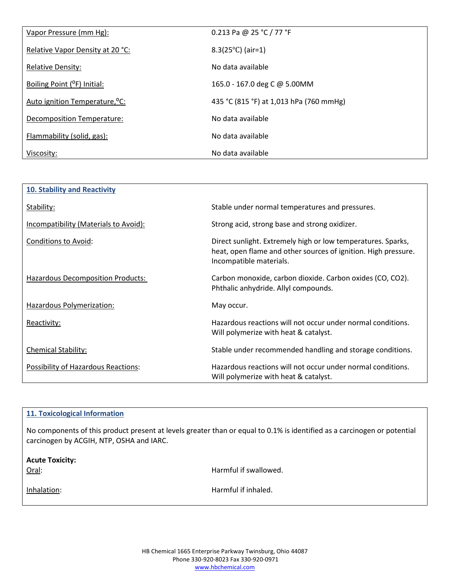| Vapor Pressure (mm Hg):                    | 0.213 Pa @ 25 °C / 77 °F                |
|--------------------------------------------|-----------------------------------------|
| Relative Vapor Density at 20 °C:           | $8.3(25^{\circ}C)$ (air=1)              |
| <b>Relative Density:</b>                   | No data available                       |
| Boiling Point ( <sup>o</sup> F) Initial:   | 165.0 - 167.0 deg C @ 5.00MM            |
| Auto ignition Temperature, <sup>o</sup> C: | 435 °C (815 °F) at 1,013 hPa (760 mmHg) |
| Decomposition Temperature:                 | No data available                       |
| Flammability (solid, gas):                 | No data available                       |
| Viscosity:                                 | No data available                       |

| <b>10. Stability and Reactivity</b>      |                                                                                                                                                           |
|------------------------------------------|-----------------------------------------------------------------------------------------------------------------------------------------------------------|
| Stability:                               | Stable under normal temperatures and pressures.                                                                                                           |
| Incompatibility (Materials to Avoid):    | Strong acid, strong base and strong oxidizer.                                                                                                             |
| <b>Conditions to Avoid:</b>              | Direct sunlight. Extremely high or low temperatures. Sparks,<br>heat, open flame and other sources of ignition. High pressure.<br>Incompatible materials. |
| <b>Hazardous Decomposition Products:</b> | Carbon monoxide, carbon dioxide. Carbon oxides (CO, CO2).<br>Phthalic anhydride. Allyl compounds.                                                         |
| Hazardous Polymerization:                | May occur.                                                                                                                                                |
| Reactivity:                              | Hazardous reactions will not occur under normal conditions.<br>Will polymerize with heat & catalyst.                                                      |
| <b>Chemical Stability:</b>               | Stable under recommended handling and storage conditions.                                                                                                 |
| Possibility of Hazardous Reactions:      | Hazardous reactions will not occur under normal conditions.<br>Will polymerize with heat & catalyst.                                                      |

| 11. Toxicological Information                                                                                                                                        |                       |
|----------------------------------------------------------------------------------------------------------------------------------------------------------------------|-----------------------|
| No components of this product present at levels greater than or equal to 0.1% is identified as a carcinogen or potential<br>carcinogen by ACGIH, NTP, OSHA and IARC. |                       |
| <b>Acute Toxicity:</b><br>Oral:                                                                                                                                      | Harmful if swallowed. |
|                                                                                                                                                                      |                       |
| Inhalation:                                                                                                                                                          | Harmful if inhaled.   |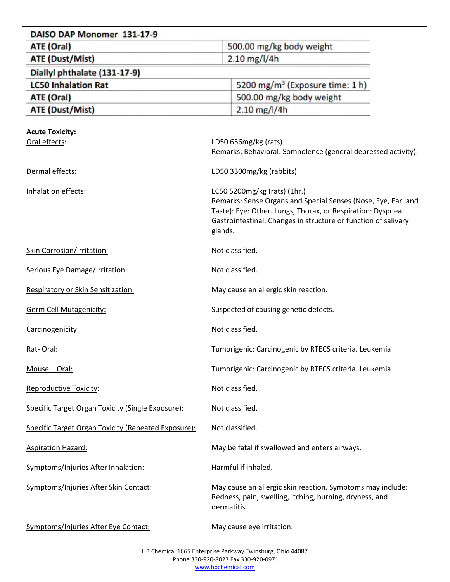| DAISO DAP Monomer 131-17-9                          |                                                                                                                                      |
|-----------------------------------------------------|--------------------------------------------------------------------------------------------------------------------------------------|
| ATE (Oral)                                          | 500.00 mg/kg body weight                                                                                                             |
| <b>ATE (Dust/Mist)</b>                              | $2.10$ mg/l/4h                                                                                                                       |
| Diallyl phthalate (131-17-9)                        |                                                                                                                                      |
| <b>LC50 Inhalation Rat</b>                          | 5200 mg/m <sup>3</sup> (Exposure time: 1 h)                                                                                          |
| ATE (Oral)                                          | 500.00 mg/kg body weight                                                                                                             |
| <b>ATE (Dust/Mist)</b>                              | $2.10$ mg/l/4h                                                                                                                       |
|                                                     |                                                                                                                                      |
| <b>Acute Toxicity:</b><br>Oral effects:             | LD50 656mg/kg (rats)                                                                                                                 |
|                                                     | Remarks: Behavioral: Somnolence (general depressed activity).                                                                        |
| Dermal effects:                                     | LD50 3300mg/kg (rabbits)                                                                                                             |
| Inhalation effects:                                 | LC50 5200mg/kg (rats) (1hr.)                                                                                                         |
|                                                     | Remarks: Sense Organs and Special Senses (Nose, Eye, Ear, and                                                                        |
|                                                     | Taste): Eye: Other. Lungs, Thorax, or Respiration: Dyspnea.<br>Gastrointestinal: Changes in structure or function of salivary        |
|                                                     | glands.                                                                                                                              |
| <b>Skin Corrosion/Irritation:</b>                   | Not classified.                                                                                                                      |
| Serious Eye Damage/Irritation:                      | Not classified.                                                                                                                      |
| Respiratory or Skin Sensitization:                  | May cause an allergic skin reaction.                                                                                                 |
| <b>Germ Cell Mutagenicity:</b>                      | Suspected of causing genetic defects.                                                                                                |
| Carcinogenicity:                                    | Not classified.                                                                                                                      |
| Rat-Oral:                                           | Tumorigenic: Carcinogenic by RTECS criteria. Leukemia                                                                                |
| Mouse - Oral:                                       | Tumorigenic: Carcinogenic by RTECS criteria. Leukemia                                                                                |
| <b>Reproductive Toxicity:</b>                       | Not classified.                                                                                                                      |
| Specific Target Organ Toxicity (Single Exposure):   | Not classified.                                                                                                                      |
| Specific Target Organ Toxicity (Repeated Exposure): | Not classified.                                                                                                                      |
| <b>Aspiration Hazard:</b>                           | May be fatal if swallowed and enters airways.                                                                                        |
| Symptoms/Injuries After Inhalation:                 | Harmful if inhaled.                                                                                                                  |
| Symptoms/Injuries After Skin Contact:               | May cause an allergic skin reaction. Symptoms may include:<br>Redness, pain, swelling, itching, burning, dryness, and<br>dermatitis. |
| Symptoms/Injuries After Eye Contact:                | May cause eye irritation.                                                                                                            |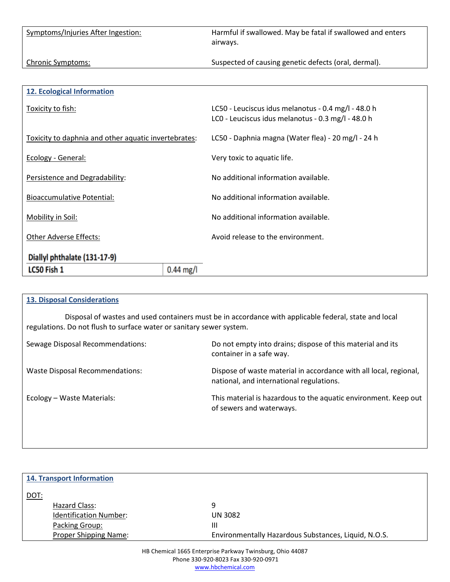| $0.44$ mg/l<br>LC50 Fish 1                           |                                                                                                           |
|------------------------------------------------------|-----------------------------------------------------------------------------------------------------------|
| Diallyl phthalate (131-17-9)                         |                                                                                                           |
| <b>Other Adverse Effects:</b>                        | Avoid release to the environment.                                                                         |
| Mobility in Soil:                                    | No additional information available.                                                                      |
| <b>Bioaccumulative Potential:</b>                    | No additional information available.                                                                      |
| Persistence and Degradability:                       | No additional information available.                                                                      |
| Ecology - General:                                   | Very toxic to aquatic life.                                                                               |
| Toxicity to daphnia and other aquatic invertebrates: | LC50 - Daphnia magna (Water flea) - 20 mg/l - 24 h                                                        |
| Toxicity to fish:                                    | LC50 - Leuciscus idus melanotus - 0.4 mg/l - 48.0 h<br>LCO - Leuciscus idus melanotus - 0.3 mg/l - 48.0 h |
| <b>12. Ecological Information</b>                    |                                                                                                           |
|                                                      |                                                                                                           |
| <b>Chronic Symptoms:</b>                             | Suspected of causing genetic defects (oral, dermal).                                                      |
| Symptoms/Injuries After Ingestion:                   | Harmful if swallowed. May be fatal if swallowed and enters<br>airways.                                    |

## **13. Disposal Considerations**

Disposal of wastes and used containers must be in accordance with applicable federal, state and local regulations. Do not flush to surface water or sanitary sewer system.

| Sewage Disposal Recommendations: | Do not empty into drains; dispose of this material and its<br>container in a safe way.                        |
|----------------------------------|---------------------------------------------------------------------------------------------------------------|
| Waste Disposal Recommendations:  | Dispose of waste material in accordance with all local, regional,<br>national, and international regulations. |
| Ecology – Waste Materials:       | This material is hazardous to the aquatic environment. Keep out<br>of sewers and waterways.                   |

|             | <b>14. Transport Information</b> |                                                      |
|-------------|----------------------------------|------------------------------------------------------|
| <b>DOT:</b> |                                  |                                                      |
|             | Hazard Class:                    | 9                                                    |
|             | <b>Identification Number:</b>    | <b>UN 3082</b>                                       |
|             | Packing Group:                   | Ш                                                    |
|             | Proper Shipping Name:            | Environmentally Hazardous Substances, Liquid, N.O.S. |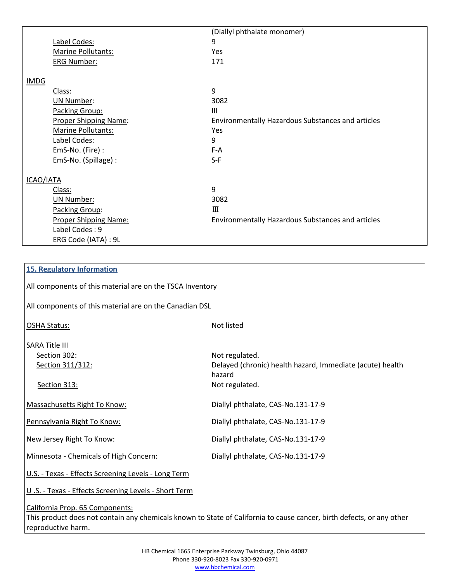|                              | (Diallyl phthalate monomer)                       |
|------------------------------|---------------------------------------------------|
| Label Codes:                 | 9                                                 |
| Marine Pollutants:           | Yes                                               |
| <b>ERG Number:</b>           | 171                                               |
|                              |                                                   |
|                              |                                                   |
| Class:                       | 9                                                 |
| <b>UN Number:</b>            | 3082                                              |
| Packing Group:               | Ш                                                 |
| <b>Proper Shipping Name:</b> | Environmentally Hazardous Substances and articles |
| Marine Pollutants:           | Yes                                               |
| Label Codes:                 | 9                                                 |
| EmS-No. (Fire):              | F-A                                               |
| EmS-No. (Spillage) :         | $S-F$                                             |
|                              |                                                   |
| ICAO/IATA                    |                                                   |
| Class:                       | 9                                                 |
| <b>UN Number:</b>            | 3082                                              |
| Packing Group:               | Ш                                                 |
| <b>Proper Shipping Name:</b> | Environmentally Hazardous Substances and articles |
| Label Codes: 9               |                                                   |
| ERG Code (IATA) : 9L         |                                                   |
|                              |                                                   |

| <b>15. Regulatory Information</b>                                                                                                                        |                                                                                                         |  |
|----------------------------------------------------------------------------------------------------------------------------------------------------------|---------------------------------------------------------------------------------------------------------|--|
| All components of this material are on the TSCA Inventory                                                                                                |                                                                                                         |  |
| All components of this material are on the Canadian DSL                                                                                                  |                                                                                                         |  |
| <b>OSHA Status:</b>                                                                                                                                      | Not listed                                                                                              |  |
| <b>SARA Title III</b><br>Section 302:<br>Section 311/312:<br>Section 313:                                                                                | Not regulated.<br>Delayed (chronic) health hazard, Immediate (acute) health<br>hazard<br>Not regulated. |  |
| Massachusetts Right To Know:                                                                                                                             | Diallyl phthalate, CAS-No.131-17-9                                                                      |  |
| Pennsylvania Right To Know:                                                                                                                              | Diallyl phthalate, CAS-No.131-17-9                                                                      |  |
| New Jersey Right To Know:                                                                                                                                | Diallyl phthalate, CAS-No.131-17-9                                                                      |  |
| Minnesota - Chemicals of High Concern:                                                                                                                   | Diallyl phthalate, CAS-No.131-17-9                                                                      |  |
| U.S. - Texas - Effects Screening Levels - Long Term                                                                                                      |                                                                                                         |  |
| U.S. - Texas - Effects Screening Levels - Short Term                                                                                                     |                                                                                                         |  |
| California Prop. 65 Components:<br>This product does not contain any chemicals known to State of California to cause cancer, birth defects, or any other |                                                                                                         |  |

reproductive harm.